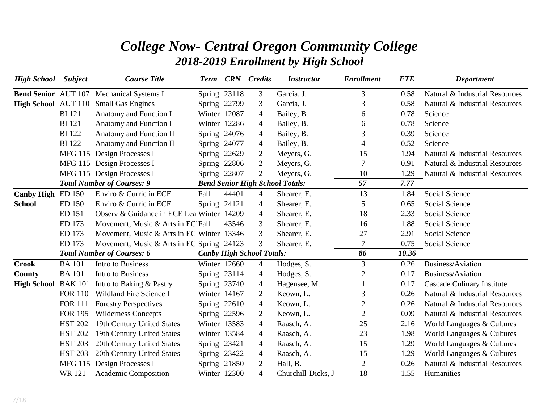## *College Now- Central Oregon Community College 2018-2019 Enrollment by High School*

| <b>High School</b>         | <b>Subject</b> | <b>Course Title</b>                       | <b>Term</b>  |              | <b>CRN</b> Credits               | <b>Instructor</b>                      | <b>Enrollment</b> | <b>FTE</b> | <b>Department</b>              |
|----------------------------|----------------|-------------------------------------------|--------------|--------------|----------------------------------|----------------------------------------|-------------------|------------|--------------------------------|
| <b>Bend Senior AUT 107</b> |                | <b>Mechanical Systems I</b>               | Spring 23118 |              | 3                                | Garcia, J.                             | 3                 | 0.58       | Natural & Industrial Resources |
| High School AUT 110        |                | <b>Small Gas Engines</b>                  | Spring 22799 |              | 3                                | Garcia, J.                             | 3                 | 0.58       | Natural & Industrial Resources |
|                            | <b>BI</b> 121  | Anatomy and Function I                    | Winter 12087 |              | 4                                | Bailey, B.                             | 6                 | 0.78       | Science                        |
|                            | <b>BI</b> 121  | Anatomy and Function I                    | Winter 12286 |              | 4                                | Bailey, B.                             | 6                 | 0.78       | Science                        |
|                            | <b>BI</b> 122  | Anatomy and Function II                   | Spring 24076 |              | 4                                | Bailey, B.                             | 3                 | 0.39       | Science                        |
|                            | <b>BI</b> 122  | Anatomy and Function II                   | Spring 24077 |              | $\overline{4}$                   | Bailey, B.                             | 4                 | 0.52       | Science                        |
|                            |                | MFG 115 Design Processes I                | Spring 22629 |              | $\overline{2}$                   | Meyers, G.                             | 15                | 1.94       | Natural & Industrial Resources |
|                            |                | MFG 115 Design Processes I                |              | Spring 22806 | $\overline{2}$                   | Meyers, G.                             | 7                 | 0.91       | Natural & Industrial Resources |
|                            |                | MFG 115 Design Processes I                | Spring 22807 |              | $\overline{2}$                   | Meyers, G.                             | 10                | 1.29       | Natural & Industrial Resources |
|                            |                | <b>Total Number of Courses: 9</b>         |              |              |                                  | <b>Bend Senior High School Totals:</b> | 57                | 7.77       |                                |
| <b>Canby High</b>          | ED 150         | Enviro & Curric in ECE                    | Fall         | 44401        | 4                                | Shearer, E.                            | 13                | 1.84       | <b>Social Science</b>          |
| <b>School</b>              | <b>ED 150</b>  | Enviro & Curric in ECE                    | Spring 24121 |              | $\overline{4}$                   | Shearer, E.                            | 5                 | 0.65       | Social Science                 |
|                            | ED 151         | Observ & Guidance in ECE Lea Winter 14209 |              |              | 4                                | Shearer, E.                            | 18                | 2.33       | <b>Social Science</b>          |
|                            | ED 173         | Movement, Music & Arts in EC Fall         |              | 43546        | 3                                | Shearer, E.                            | 16                | 1.88       | Social Science                 |
|                            | ED 173         | Movement, Music & Arts in EC Winter 13346 |              |              | 3                                | Shearer, E.                            | 27                | 2.91       | <b>Social Science</b>          |
|                            | ED 173         | Movement, Music & Arts in EC Spring 24123 |              |              | 3                                | Shearer, E.                            | 7                 | 0.75       | Social Science                 |
|                            |                | <b>Total Number of Courses: 6</b>         |              |              | <b>Canby High School Totals:</b> |                                        | 86                | 10.36      |                                |
| <b>Crook</b>               | <b>BA</b> 101  | Intro to Business                         |              | Winter 12660 | $\overline{4}$                   | Hodges, S.                             | 3                 | 0.26       | Business/Aviation              |
| County                     | <b>BA</b> 101  | Intro to Business                         | Spring 23114 |              | $\overline{4}$                   | Hodges, S.                             | 2                 | 0.17       | Business/Aviation              |
| <b>High School BAK 101</b> |                | Intro to Baking & Pastry                  | Spring 23740 |              | $\overline{4}$                   | Hagensee, M.                           |                   | 0.17       | Cascade Culinary Institute     |
|                            | <b>FOR 110</b> | Wildland Fire Science I                   | Winter 14167 |              | $\overline{2}$                   | Keown, L.                              | 3                 | 0.26       | Natural & Industrial Resources |
|                            | <b>FOR 111</b> | <b>Forestry Perspectives</b>              |              | Spring 22610 | $\overline{4}$                   | Keown, L.                              | $\overline{2}$    | 0.26       | Natural & Industrial Resources |
|                            | <b>FOR 195</b> | <b>Wilderness Concepts</b>                | Spring 22596 |              | $\overline{2}$                   | Keown, L.                              | $\overline{2}$    | 0.09       | Natural & Industrial Resources |
|                            | <b>HST 202</b> | 19th Century United States                | Winter 13583 |              | $\overline{4}$                   | Raasch, A.                             | 25                | 2.16       | World Languages & Cultures     |
|                            | <b>HST 202</b> | 19th Century United States                | Winter 13584 |              | 4                                | Raasch, A.                             | 23                | 1.98       | World Languages & Cultures     |
|                            | <b>HST 203</b> | 20th Century United States                | Spring 23421 |              | 4                                | Raasch, A.                             | 15                | 1.29       | World Languages & Cultures     |
|                            | <b>HST 203</b> | 20th Century United States                | Spring 23422 |              | $\overline{4}$                   | Raasch, A.                             | 15                | 1.29       | World Languages & Cultures     |
|                            | <b>MFG 115</b> | Design Processes I                        | Spring 21850 |              | $\overline{2}$                   | Hall, B.                               | $\overline{2}$    | 0.26       | Natural & Industrial Resources |
|                            | <b>WR121</b>   | Academic Composition                      | Winter 12300 |              | $\overline{4}$                   | Churchill-Dicks, J                     | 18                | 1.55       | Humanities                     |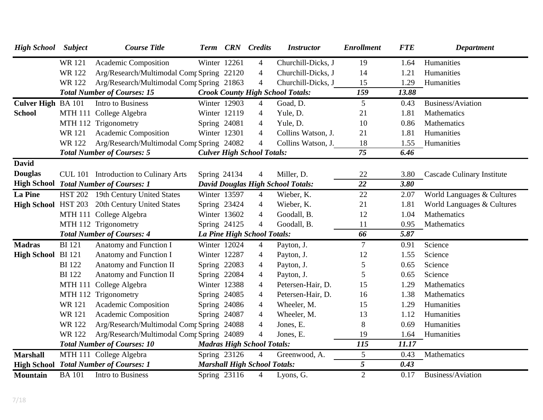| <b>High School</b> Subject |                | <b>Course Title</b>                           |                             |              | Term CRN Credits                    | <b>Instructor</b>                        | <b>Enrollment</b> | <b>FTE</b> | <b>Department</b>          |
|----------------------------|----------------|-----------------------------------------------|-----------------------------|--------------|-------------------------------------|------------------------------------------|-------------------|------------|----------------------------|
|                            | <b>WR121</b>   | Academic Composition                          | Winter 12261                |              | $\overline{4}$                      | Churchill-Dicks, J                       | 19                | 1.64       | Humanities                 |
|                            | <b>WR122</b>   | Arg/Research/Multimodal Comr Spring 22120     |                             |              | $\overline{4}$                      | Churchill-Dicks, J                       | 14                | 1.21       | Humanities                 |
|                            | WR 122         | Arg/Research/Multimodal Comp Spring 21863     |                             |              | $\overline{4}$                      | Churchill-Dicks, J                       | 15                | 1.29       | Humanities                 |
|                            |                | <b>Total Number of Courses: 15</b>            |                             |              |                                     | <b>Crook County High School Totals:</b>  | 159               | 13.88      |                            |
| Culver High BA 101         |                | Intro to Business                             | Winter 12903                |              | $\overline{4}$                      | Goad, D.                                 | $5\overline{)}$   | 0.43       | Business/Aviation          |
| <b>School</b>              |                | MTH 111 College Algebra                       | Winter 12119                |              | $\overline{4}$                      | Yule, D.                                 | 21                | 1.81       | Mathematics                |
|                            |                | MTH 112 Trigonometry                          | Spring 24081                |              | $\overline{4}$                      | Yule, D.                                 | 10                | 0.86       | Mathematics                |
|                            | WR 121         | Academic Composition                          | Winter 12301                |              | $\overline{4}$                      | Collins Watson, J.                       | 21                | 1.81       | Humanities                 |
|                            | WR 122         | Arg/Research/Multimodal Comp Spring 24082     |                             |              | $\overline{4}$                      | Collins Watson, J.                       | 18                | 1.55       | Humanities                 |
|                            |                | <b>Total Number of Courses: 5</b>             |                             |              | <b>Culver High School Totals:</b>   |                                          | 75                | 6.46       |                            |
| <b>David</b>               |                |                                               |                             |              |                                     |                                          |                   |            |                            |
| <b>Douglas</b>             |                | CUL 101 Introduction to Culinary Arts         | Spring 24134                |              | $\overline{4}$                      | Miller, D.                               | 22                | 3.80       | Cascade Culinary Institute |
|                            |                | <b>High School Total Number of Courses: 1</b> |                             |              |                                     | <b>David Douglas High School Totals:</b> | 22                | 3.80       |                            |
| <b>La Pine</b>             |                | HST 202 19th Century United States            | Winter 13597                |              | $\overline{4}$                      | Wieber, K.                               | 22                | 2.07       | World Languages & Cultures |
| <b>High School HST 203</b> |                | 20th Century United States                    | Spring 23424                |              | $\overline{4}$                      | Wieber, K.                               | 21                | 1.81       | World Languages & Cultures |
|                            |                | MTH 111 College Algebra                       | Winter 13602                |              | $\overline{4}$                      | Goodall, B.                              | 12                | 1.04       | Mathematics                |
|                            |                | MTH 112 Trigonometry                          | Spring 24125                |              | $\overline{4}$                      | Goodall, B.                              | 11                | 0.95       | Mathematics                |
|                            |                | <b>Total Number of Courses: 4</b>             | La Pine High School Totals: |              |                                     |                                          | 66                | 5.87       |                            |
| <b>Madras</b>              | <b>BI</b> 121  | Anatomy and Function I                        | Winter 12024                |              | $\overline{4}$                      | Payton, J.                               | $\tau$            | 0.91       | Science                    |
| High School BI 121         |                | Anatomy and Function I                        | Winter 12287                |              | $\overline{4}$                      | Payton, J.                               | 12                | 1.55       | Science                    |
|                            | <b>BI</b> 122  | Anatomy and Function II                       | Spring 22083                |              | 4                                   | Payton, J.                               | 5                 | 0.65       | Science                    |
|                            | <b>BI</b> 122  | Anatomy and Function II                       | Spring 22084                |              | $\overline{4}$                      | Payton, J.                               | 5                 | 0.65       | Science                    |
|                            | <b>MTH 111</b> | College Algebra                               | Winter 12388                |              | $\overline{4}$                      | Petersen-Hair, D.                        | 15                | 1.29       | Mathematics                |
|                            |                | MTH 112 Trigonometry                          | Spring 24085                |              | $\overline{4}$                      | Petersen-Hair, D.                        | 16                | 1.38       | Mathematics                |
|                            | <b>WR121</b>   | Academic Composition                          | Spring 24086                |              | $\overline{4}$                      | Wheeler, M.                              | 15                | 1.29       | Humanities                 |
|                            | <b>WR121</b>   | Academic Composition                          | Spring 24087                |              | $\overline{4}$                      | Wheeler, M.                              | 13                | 1.12       | Humanities                 |
|                            | <b>WR122</b>   | Arg/Research/Multimodal Comp Spring 24088     |                             |              | $\overline{4}$                      | Jones, E.                                | 8                 | 0.69       | Humanities                 |
|                            | <b>WR122</b>   | Arg/Research/Multimodal Comr Spring 24089     |                             |              | $\overline{4}$                      | Jones, E.                                | 19                | 1.64       | Humanities                 |
|                            |                | <b>Total Number of Courses: 10</b>            |                             |              | <b>Madras High School Totals:</b>   |                                          | 115               | 11.17      |                            |
| <b>Marshall</b>            |                | MTH 111 College Algebra                       | Spring 23126                |              | $\overline{4}$                      | Greenwood, A.                            | 5                 | 0.43       | Mathematics                |
|                            |                | <b>High School Total Number of Courses: 1</b> |                             |              | <b>Marshall High School Totals:</b> |                                          | 5                 | 0.43       |                            |
| <b>Mountain</b>            | <b>BA</b> 101  | Intro to Business                             |                             | Spring 23116 | $\overline{4}$                      | Lyons, G.                                | $\overline{2}$    | 0.17       | Business/Aviation          |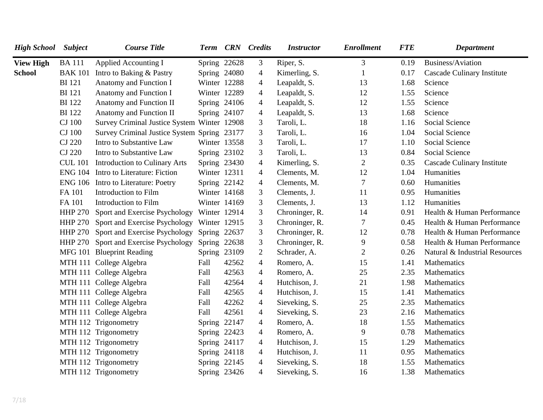| <b>High School</b> | <b>Subject</b> | <b>Course Title</b>                         |              |       | Term CRN Credits | <b>Instructor</b> | <b>Enrollment</b> | <b>FTE</b> | <b>Department</b>              |
|--------------------|----------------|---------------------------------------------|--------------|-------|------------------|-------------------|-------------------|------------|--------------------------------|
| <b>View High</b>   | <b>BA111</b>   | <b>Applied Accounting I</b>                 | Spring 22628 |       | 3                | Riper, S.         | 3                 | 0.19       | Business/Aviation              |
| <b>School</b>      | <b>BAK 101</b> | Intro to Baking & Pastry                    | Spring 24080 |       | $\overline{4}$   | Kimerling, S.     | $\mathbf{1}$      | 0.17       | Cascade Culinary Institute     |
|                    | <b>BI</b> 121  | Anatomy and Function I                      | Winter 12288 |       | $\overline{4}$   | Leapaldt, S.      | 13                | 1.68       | Science                        |
|                    | <b>BI</b> 121  | Anatomy and Function I                      | Winter 12289 |       | $\overline{4}$   | Leapaldt, S.      | 12                | 1.55       | Science                        |
|                    | <b>BI</b> 122  | Anatomy and Function II                     | Spring 24106 |       | $\overline{4}$   | Leapaldt, S.      | 12                | 1.55       | Science                        |
|                    | <b>BI</b> 122  | Anatomy and Function II                     | Spring 24107 |       | $\overline{4}$   | Leapaldt, S.      | 13                | 1.68       | Science                        |
|                    | <b>CJ</b> 100  | Survey Criminal Justice System Winter 12908 |              |       | $\mathfrak{Z}$   | Taroli, L.        | 18                | 1.16       | Social Science                 |
|                    | <b>CJ</b> 100  | Survey Criminal Justice System Spring 23177 |              |       | 3                | Taroli, L.        | 16                | 1.04       | Social Science                 |
|                    | <b>CJ 220</b>  | Intro to Substantive Law                    | Winter 13558 |       | $\mathfrak{Z}$   | Taroli, L.        | 17                | 1.10       | Social Science                 |
|                    | <b>CJ 220</b>  | Intro to Substantive Law                    | Spring 23102 |       | 3                | Taroli, L.        | 13                | 0.84       | Social Science                 |
|                    | <b>CUL 101</b> | <b>Introduction to Culinary Arts</b>        | Spring 23430 |       | $\overline{4}$   | Kimerling, S.     | $\overline{2}$    | 0.35       | Cascade Culinary Institute     |
|                    | <b>ENG 104</b> | Intro to Literature: Fiction                | Winter 12311 |       | $\overline{4}$   | Clements, M.      | 12                | 1.04       | Humanities                     |
|                    |                | ENG 106 Intro to Literature: Poetry         | Spring 22142 |       | $\overline{4}$   | Clements, M.      | 7                 | 0.60       | Humanities                     |
|                    | FA 101         | Introduction to Film                        | Winter 14168 |       | 3                | Clements, J.      | 11                | 0.95       | Humanities                     |
|                    | FA 101         | Introduction to Film                        | Winter 14169 |       | 3                | Clements, J.      | 13                | 1.12       | Humanities                     |
|                    | <b>HHP 270</b> | Sport and Exercise Psychology               | Winter 12914 |       | $\mathfrak{Z}$   | Chroninger, R.    | 14                | 0.91       | Health & Human Performance     |
|                    | <b>HHP 270</b> | Sport and Exercise Psychology               | Winter 12915 |       | 3                | Chroninger, R.    | $7\phantom{.0}$   | 0.45       | Health & Human Performance     |
|                    | <b>HHP 270</b> | Sport and Exercise Psychology               | Spring 22637 |       | 3                | Chroninger, R.    | 12                | 0.78       | Health & Human Performance     |
|                    |                | HHP 270 Sport and Exercise Psychology       | Spring 22638 |       | 3                | Chroninger, R.    | 9                 | 0.58       | Health & Human Performance     |
|                    |                | MFG 101 Blueprint Reading                   | Spring 23109 |       | $\overline{2}$   | Schrader, A.      | $\overline{2}$    | 0.26       | Natural & Industrial Resources |
|                    |                | MTH 111 College Algebra                     | Fall         | 42562 | $\overline{4}$   | Romero, A.        | 15                | 1.41       | Mathematics                    |
|                    |                | MTH 111 College Algebra                     | Fall         | 42563 | $\overline{4}$   | Romero, A.        | 25                | 2.35       | Mathematics                    |
|                    |                | MTH 111 College Algebra                     | Fall         | 42564 | $\overline{4}$   | Hutchison, J.     | 21                | 1.98       | Mathematics                    |
|                    |                | MTH 111 College Algebra                     | Fall         | 42565 | $\overline{4}$   | Hutchison, J.     | 15                | 1.41       | Mathematics                    |
|                    |                | MTH 111 College Algebra                     | Fall         | 42262 | $\overline{4}$   | Sieveking, S.     | 25                | 2.35       | Mathematics                    |
|                    |                | MTH 111 College Algebra                     | Fall         | 42561 | $\overline{4}$   | Sieveking, S.     | 23                | 2.16       | Mathematics                    |
|                    |                | MTH 112 Trigonometry                        | Spring 22147 |       | $\overline{4}$   | Romero, A.        | 18                | 1.55       | Mathematics                    |
|                    |                | MTH 112 Trigonometry                        | Spring 22423 |       | $\overline{4}$   | Romero, A.        | 9                 | 0.78       | Mathematics                    |
|                    |                | MTH 112 Trigonometry                        | Spring 24117 |       | $\overline{4}$   | Hutchison, J.     | 15                | 1.29       | Mathematics                    |
|                    |                | MTH 112 Trigonometry                        | Spring 24118 |       | $\overline{4}$   | Hutchison, J.     | 11                | 0.95       | Mathematics                    |
|                    |                | MTH 112 Trigonometry                        | Spring 22145 |       | $\overline{4}$   | Sieveking, S.     | 18                | 1.55       | Mathematics                    |
|                    |                | MTH 112 Trigonometry                        | Spring 23426 |       | $\overline{4}$   | Sieveking, S.     | 16                | 1.38       | Mathematics                    |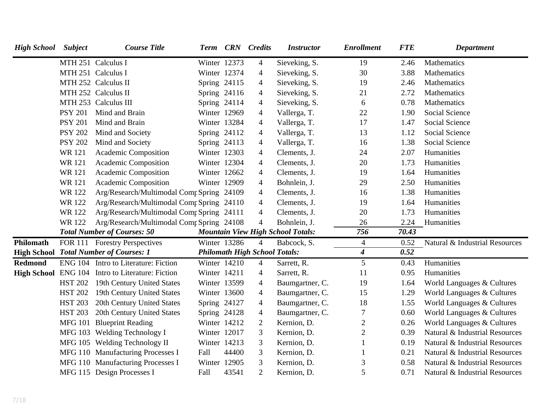| <b>High School</b> | <b>Subject</b> | <b>Course Title</b>                              | Term         |       | <b>CRN</b> Credits                   | <b>Instructor</b>                        | <b>Enrollment</b>       | <b>FTE</b> | <b>Department</b>              |
|--------------------|----------------|--------------------------------------------------|--------------|-------|--------------------------------------|------------------------------------------|-------------------------|------------|--------------------------------|
|                    |                | MTH 251 Calculus I                               | Winter 12373 |       | $\overline{4}$                       | Sieveking, S.                            | 19                      | 2.46       | Mathematics                    |
|                    |                | MTH 251 Calculus I                               | Winter 12374 |       | $\overline{4}$                       | Sieveking, S.                            | 30                      | 3.88       | Mathematics                    |
|                    |                | MTH 252 Calculus II                              | Spring 24115 |       | $\overline{4}$                       | Sieveking, S.                            | 19                      | 2.46       | Mathematics                    |
|                    |                | MTH 252 Calculus II                              | Spring 24116 |       | $\overline{4}$                       | Sieveking, S.                            | 21                      | 2.72       | Mathematics                    |
|                    |                | MTH 253 Calculus III                             | Spring 24114 |       | $\overline{4}$                       | Sieveking, S.                            | 6                       | 0.78       | Mathematics                    |
|                    | <b>PSY 201</b> | Mind and Brain                                   | Winter 12969 |       | $\overline{4}$                       | Vallerga, T.                             | 22                      | 1.90       | Social Science                 |
|                    | <b>PSY 201</b> | Mind and Brain                                   | Winter 13284 |       | $\overline{4}$                       | Vallerga, T.                             | 17                      | 1.47       | Social Science                 |
|                    | <b>PSY 202</b> | Mind and Society                                 | Spring 24112 |       | $\overline{4}$                       | Vallerga, T.                             | 13                      | 1.12       | Social Science                 |
|                    | <b>PSY 202</b> | Mind and Society                                 | Spring 24113 |       | $\overline{4}$                       | Vallerga, T.                             | 16                      | 1.38       | Social Science                 |
|                    | WR 121         | Academic Composition                             | Winter 12303 |       | $\overline{4}$                       | Clements, J.                             | 24                      | 2.07       | Humanities                     |
|                    | <b>WR121</b>   | Academic Composition                             | Winter 12304 |       | $\overline{4}$                       | Clements, J.                             | 20                      | 1.73       | Humanities                     |
|                    | <b>WR121</b>   | Academic Composition                             | Winter 12662 |       | $\overline{4}$                       | Clements, J.                             | 19                      | 1.64       | Humanities                     |
|                    | <b>WR121</b>   | Academic Composition                             | Winter 12909 |       | $\overline{4}$                       | Bohnlein, J.                             | 29                      | 2.50       | Humanities                     |
|                    | <b>WR122</b>   | Arg/Research/Multimodal Comp Spring 24109        |              |       | $\overline{4}$                       | Clements, J.                             | 16                      | 1.38       | Humanities                     |
|                    | <b>WR122</b>   | Arg/Research/Multimodal Comp Spring 24110        |              |       | $\overline{4}$                       | Clements, J.                             | 19                      | 1.64       | Humanities                     |
|                    | <b>WR122</b>   | Arg/Research/Multimodal Comr Spring 24111        |              |       | $\overline{4}$                       | Clements, J.                             | 20                      | 1.73       | Humanities                     |
|                    | <b>WR122</b>   | Arg/Research/Multimodal Comp Spring 24108        |              |       | $\overline{4}$                       | Bohnlein, J.                             | 26                      | 2.24       | Humanities                     |
|                    |                | <b>Total Number of Courses: 50</b>               |              |       |                                      | <b>Mountain View High School Totals:</b> | 756                     | 70.43      |                                |
| Philomath          |                | FOR 111 Forestry Perspectives                    | Winter 13286 |       | $\overline{4}$                       | Babcock, S.                              | $\overline{4}$          | 0.52       | Natural & Industrial Resources |
|                    |                | <b>High School Total Number of Courses: 1</b>    |              |       | <b>Philomath High School Totals:</b> |                                          | $\overline{\mathbf{4}}$ | 0.52       |                                |
| <b>Redmond</b>     |                | ENG 104 Intro to Literature: Fiction             | Winter 14210 |       | $\overline{4}$                       | Sarrett, R.                              | 5                       | 0.43       | Humanities                     |
|                    |                | High School ENG 104 Intro to Literature: Fiction | Winter 14211 |       | $\overline{4}$                       | Sarrett, R.                              | 11                      | 0.95       | Humanities                     |
|                    | <b>HST 202</b> | 19th Century United States                       | Winter 13599 |       | $\overline{4}$                       | Baumgartner, C.                          | 19                      | 1.64       | World Languages & Cultures     |
|                    | <b>HST 202</b> | 19th Century United States                       | Winter 13600 |       | $\overline{4}$                       | Baumgartner, C.                          | 15                      | 1.29       | World Languages & Cultures     |
|                    | <b>HST 203</b> | 20th Century United States                       | Spring 24127 |       | $\overline{4}$                       | Baumgartner, C.                          | 18                      | 1.55       | World Languages & Cultures     |
|                    | <b>HST 203</b> | 20th Century United States                       | Spring 24128 |       | $\overline{4}$                       | Baumgartner, C.                          | 7                       | 0.60       | World Languages & Cultures     |
|                    |                | MFG 101 Blueprint Reading                        | Winter 14212 |       | $\overline{2}$                       | Kernion, D.                              | $\mathbf{2}$            | 0.26       | World Languages & Cultures     |
|                    |                | MFG 103 Welding Technology I                     | Winter 12017 |       | 3                                    | Kernion, D.                              | $\overline{c}$          | 0.39       | Natural & Industrial Resources |
|                    |                | MFG 105 Welding Technology II                    | Winter 14213 |       | 3                                    | Kernion, D.                              |                         | 0.19       | Natural & Industrial Resources |
|                    |                | MFG 110 Manufacturing Processes I                | Fall         | 44400 | 3                                    | Kernion, D.                              |                         | 0.21       | Natural & Industrial Resources |
|                    |                | MFG 110 Manufacturing Processes I                | Winter 12905 |       | 3                                    | Kernion, D.                              | 3                       | 0.58       | Natural & Industrial Resources |
|                    |                | MFG 115 Design Processes I                       | Fall         | 43541 | $\overline{2}$                       | Kernion, D.                              | 5                       | 0.71       | Natural & Industrial Resources |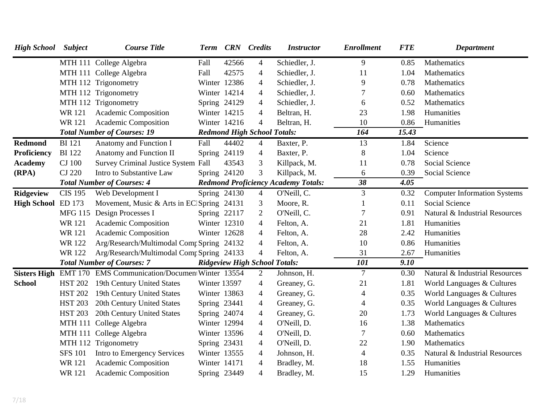| <b>High School</b>  | <b>Subject</b>                    | <b>Course Title</b>                            | Term         |       | <b>CRN</b> Credits                   | <b>Instructor</b>                          | <b>Enrollment</b> | <b>FTE</b> | <b>Department</b>                   |
|---------------------|-----------------------------------|------------------------------------------------|--------------|-------|--------------------------------------|--------------------------------------------|-------------------|------------|-------------------------------------|
|                     |                                   | MTH 111 College Algebra                        | Fall         | 42566 | $\overline{4}$                       | Schiedler, J.                              | 9                 | 0.85       | <b>Mathematics</b>                  |
|                     |                                   | MTH 111 College Algebra                        | Fall         | 42575 | $\overline{4}$                       | Schiedler, J.                              | 11                | 1.04       | Mathematics                         |
|                     |                                   | MTH 112 Trigonometry                           | Winter 12386 |       | $\overline{4}$                       | Schiedler, J.                              | 9                 | 0.78       | Mathematics                         |
|                     |                                   | MTH 112 Trigonometry                           | Winter 14214 |       | $\overline{4}$                       | Schiedler, J.                              |                   | 0.60       | Mathematics                         |
|                     |                                   | MTH 112 Trigonometry                           | Spring 24129 |       | 4                                    | Schiedler, J.                              | 6                 | 0.52       | Mathematics                         |
|                     | WR 121                            | Academic Composition                           | Winter 14215 |       | 4                                    | Beltran, H.                                | 23                | 1.98       | Humanities                          |
|                     | WR 121                            | Academic Composition                           | Winter 14216 |       | $\overline{4}$                       | Beltran, H.                                | 10                | 0.86       | Humanities                          |
|                     |                                   | <b>Total Number of Courses: 19</b>             |              |       | <b>Redmond High School Totals:</b>   |                                            | 164               | 15.43      |                                     |
| <b>Redmond</b>      | <b>BI</b> 121                     | Anatomy and Function I                         | Fall         | 44402 | $\overline{4}$                       | Baxter, P.                                 | 13                | 1.84       | Science                             |
| <b>Proficiency</b>  | <b>BI</b> 122                     | Anatomy and Function II                        | Spring 24119 |       | 4                                    | Baxter, P.                                 | 8                 | 1.04       | Science                             |
| <b>Academy</b>      | <b>CJ</b> 100                     | <b>Survey Criminal Justice System Fall</b>     |              | 43543 | 3                                    | Killpack, M.                               | 11                | 0.78       | Social Science                      |
| (RPA)               | <b>CJ 220</b>                     | Intro to Substantive Law                       | Spring 24120 |       | 3                                    | Killpack, M.                               | 6                 | 0.39       | Social Science                      |
|                     | <b>Total Number of Courses: 4</b> |                                                |              |       |                                      | <b>Redmond Proficiency Academy Totals:</b> | 38                | 4.05       |                                     |
| <b>Ridgeview</b>    | <b>CIS 195</b>                    | Web Development I                              | Spring 24130 |       | $\overline{4}$                       | O'Neill, C.                                | 3                 | 0.32       | <b>Computer Information Systems</b> |
| <b>High School</b>  | ED 173                            | Movement, Music & Arts in EC Spring 24131      |              |       | 3                                    | Moore, R.                                  |                   | 0.11       | Social Science                      |
|                     |                                   | MFG 115 Design Processes I                     | Spring 22117 |       | $\mathfrak{2}$                       | O'Neill, C.                                |                   | 0.91       | Natural & Industrial Resources      |
|                     | <b>WR121</b>                      | Academic Composition                           | Winter 12310 |       | 4                                    | Felton, A.                                 | 21                | 1.81       | Humanities                          |
|                     | <b>WR121</b>                      | Academic Composition                           | Winter 12628 |       | 4                                    | Felton, A.                                 | 28                | 2.42       | Humanities                          |
|                     | WR 122                            | Arg/Research/Multimodal Comp Spring 24132      |              |       | 4                                    | Felton, A.                                 | 10                | 0.86       | Humanities                          |
|                     | WR 122                            | Arg/Research/Multimodal Comr Spring 24133      |              |       | $\overline{4}$                       | Felton, A.                                 | 31                | 2.67       | Humanities                          |
|                     |                                   | <b>Total Number of Courses: 7</b>              |              |       | <b>Ridgeview High School Totals:</b> |                                            | 101               | 9.10       |                                     |
| <b>Sisters High</b> |                                   | EMT 170 EMS Communication/Documen Winter 13554 |              |       | $\overline{2}$                       | Johnson, H.                                | $\tau$            | 0.30       | Natural & Industrial Resources      |
| <b>School</b>       | <b>HST 202</b>                    | 19th Century United States                     | Winter 13597 |       | 4                                    | Greaney, G.                                | 21                | 1.81       | World Languages & Cultures          |
|                     | <b>HST 202</b>                    | 19th Century United States                     | Winter 13863 |       | $\overline{4}$                       | Greaney, G.                                | 4                 | 0.35       | World Languages & Cultures          |
|                     | <b>HST 203</b>                    | 20th Century United States                     | Spring 23441 |       | $\overline{4}$                       | Greaney, G.                                | 4                 | 0.35       | World Languages & Cultures          |
|                     | <b>HST 203</b>                    | 20th Century United States                     | Spring 24074 |       | $\overline{4}$                       | Greaney, G.                                | 20                | 1.73       | World Languages & Cultures          |
|                     |                                   | MTH 111 College Algebra                        | Winter 12994 |       | 4                                    | O'Neill, D.                                | 16                | 1.38       | Mathematics                         |
|                     |                                   | MTH 111 College Algebra                        | Winter 13596 |       | 4                                    | O'Neill, D.                                | 7                 | 0.60       | Mathematics                         |
|                     |                                   | MTH 112 Trigonometry                           | Spring 23431 |       | $\overline{4}$                       | O'Neill, D.                                | 22                | 1.90       | Mathematics                         |
|                     | <b>SFS 101</b>                    | Intro to Emergency Services                    | Winter 13555 |       | 4                                    | Johnson, H.                                | 4                 | 0.35       | Natural & Industrial Resources      |
|                     | <b>WR121</b>                      | <b>Academic Composition</b>                    | Winter 14171 |       | 4                                    | Bradley, M.                                | 18                | 1.55       | Humanities                          |
|                     | <b>WR121</b>                      | <b>Academic Composition</b>                    | Spring 23449 |       | 4                                    | Bradley, M.                                | 15                | 1.29       | Humanities                          |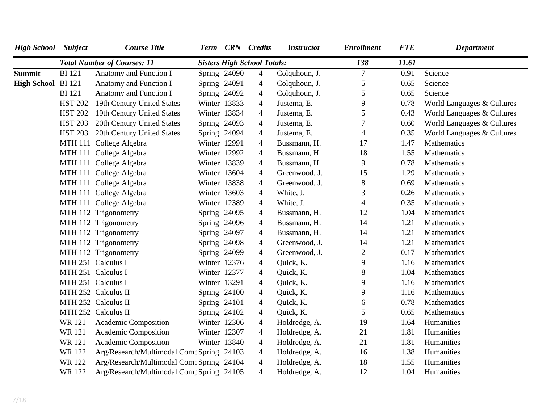| <b>High School</b> Subject |                | <b>Course Title</b>                       |                | Term CRN Credits                   | <b>Instructor</b> | <b>Enrollment</b> | <b>FTE</b> | Department                 |
|----------------------------|----------------|-------------------------------------------|----------------|------------------------------------|-------------------|-------------------|------------|----------------------------|
|                            |                | <b>Total Number of Courses: 11</b>        |                | <b>Sisters High School Totals:</b> |                   | 138               | 11.61      |                            |
| <b>Summit</b>              | <b>BI</b> 121  | Anatomy and Function I                    | Spring $24090$ | $\overline{4}$                     | Colquhoun, J.     | $\overline{7}$    | 0.91       | Science                    |
| High School BI 121         |                | Anatomy and Function I                    | Spring 24091   | 4                                  | Colquhoun, J.     | 5                 | 0.65       | Science                    |
|                            | <b>BI</b> 121  | Anatomy and Function I                    | Spring 24092   | $\overline{4}$                     | Colquhoun, J.     | 5                 | 0.65       | Science                    |
|                            | <b>HST 202</b> | 19th Century United States                | Winter 13833   | $\overline{4}$                     | Justema, E.       | 9                 | 0.78       | World Languages & Cultures |
|                            | <b>HST 202</b> | 19th Century United States                | Winter 13834   | 4                                  | Justema, E.       | 5                 | 0.43       | World Languages & Cultures |
|                            | <b>HST 203</b> | 20th Century United States                | Spring 24093   | $\overline{4}$                     | Justema, E.       | 7                 | 0.60       | World Languages & Cultures |
|                            | <b>HST 203</b> | 20th Century United States                | Spring 24094   | $\overline{4}$                     | Justema, E.       | $\overline{4}$    | 0.35       | World Languages & Cultures |
|                            |                | MTH 111 College Algebra                   | Winter 12991   | $\overline{4}$                     | Bussmann, H.      | 17                | 1.47       | Mathematics                |
|                            |                | MTH 111 College Algebra                   | Winter 12992   | $\overline{4}$                     | Bussmann, H.      | 18                | 1.55       | Mathematics                |
|                            |                | MTH 111 College Algebra                   | Winter 13839   | $\overline{4}$                     | Bussmann, H.      | 9                 | 0.78       | Mathematics                |
|                            |                | MTH 111 College Algebra                   | Winter 13604   | $\overline{4}$                     | Greenwood, J.     | 15                | 1.29       | Mathematics                |
|                            |                | MTH 111 College Algebra                   | Winter 13838   | $\overline{4}$                     | Greenwood, J.     | $8\,$             | 0.69       | Mathematics                |
|                            |                | MTH 111 College Algebra                   | Winter 13603   | 4                                  | White, J.         | 3                 | 0.26       | Mathematics                |
|                            |                | MTH 111 College Algebra                   | Winter 12389   | 4                                  | White, J.         | $\overline{4}$    | 0.35       | Mathematics                |
|                            |                | MTH 112 Trigonometry                      | Spring 24095   | $\overline{4}$                     | Bussmann, H.      | 12                | 1.04       | Mathematics                |
|                            |                | MTH 112 Trigonometry                      | Spring 24096   | $\overline{4}$                     | Bussmann, H.      | 14                | 1.21       | Mathematics                |
|                            |                | MTH 112 Trigonometry                      | Spring 24097   | $\overline{4}$                     | Bussmann, H.      | 14                | 1.21       | Mathematics                |
|                            |                | MTH 112 Trigonometry                      | Spring 24098   | 4                                  | Greenwood, J.     | 14                | 1.21       | Mathematics                |
|                            |                | MTH 112 Trigonometry                      | Spring 24099   | 4                                  | Greenwood, J.     | $\mathbf{2}$      | 0.17       | Mathematics                |
|                            |                | MTH 251 Calculus I                        | Winter 12376   | 4                                  | Quick, K.         | 9                 | 1.16       | Mathematics                |
|                            |                | MTH 251 Calculus I                        | Winter 12377   | 4                                  | Quick, K.         | 8                 | 1.04       | Mathematics                |
|                            |                | MTH 251 Calculus I                        | Winter 13291   | 4                                  | Quick, K.         | 9                 | 1.16       | Mathematics                |
|                            |                | MTH 252 Calculus II                       | Spring $24100$ | 4                                  | Quick, K.         | 9                 | 1.16       | Mathematics                |
|                            |                | MTH 252 Calculus II                       | Spring 24101   | $\overline{4}$                     | Quick, K.         | 6                 | 0.78       | Mathematics                |
|                            |                | MTH 252 Calculus II                       | Spring 24102   | $\overline{4}$                     | Quick, K.         | 5                 | 0.65       | Mathematics                |
|                            | WR 121         | Academic Composition                      | Winter 12306   | $\overline{4}$                     | Holdredge, A.     | 19                | 1.64       | Humanities                 |
|                            | <b>WR121</b>   | <b>Academic Composition</b>               | Winter 12307   | $\overline{4}$                     | Holdredge, A.     | 21                | 1.81       | Humanities                 |
|                            | <b>WR121</b>   | <b>Academic Composition</b>               | Winter 13840   | $\overline{4}$                     | Holdredge, A.     | 21                | 1.81       | Humanities                 |
|                            | WR 122         | Arg/Research/Multimodal Comr Spring 24103 |                | $\overline{4}$                     | Holdredge, A.     | 16                | 1.38       | Humanities                 |
|                            | <b>WR122</b>   | Arg/Research/Multimodal Comp Spring 24104 |                | $\overline{4}$                     | Holdredge, A.     | 18                | 1.55       | Humanities                 |
|                            | <b>WR122</b>   | Arg/Research/Multimodal Comp Spring 24105 |                | 4                                  | Holdredge, A.     | 12                | 1.04       | Humanities                 |